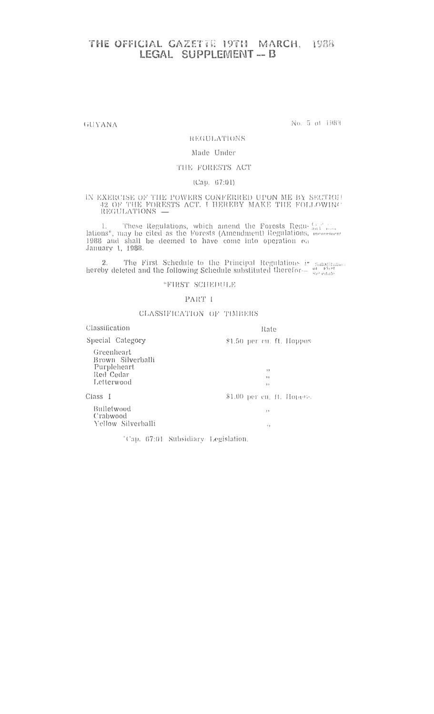## THE OFFICIAL CAZETTE 19TH MARCH, 1988

GUYANA

No. 5 of 1983

#### REGULATIONS

### Made Under

## THE FORESTS ACT

#### $(Cap. 67:01)$

# IN EXERCISE OF THE POWERS CONFERRED UPON ME BY SECTION 42 OF THE FORESTS ACT. I HEREBY MAKE THE FOLLOWING REGULATIONS  $\leftarrow$

1. These Regulations, which amend the Forests Regulations\*, may be cited as the Forests (Amendment) Regulations, menoment 1988 and shall be deemed to have come into operation on January 1, 1988.

2. The First Schedule to the Principal Regulations is said thereby deleted and the following Schedule substituted therefor— $\frac{at - c}{set - c}$ 

"FIRST SCHEDULE

#### PART I

#### CLASSIFICATION OF TIMBERS

| Classification                                                            | Rate                        |
|---------------------------------------------------------------------------|-----------------------------|
| Special Category                                                          | \$1.50 per cu. ft. Hoppas   |
| Greenheart<br>Brown Silverballi<br>Purpleheart<br>Red Cedar<br>Letterwood | 53<br>22<br>7 <sub>1</sub>  |
| Class I                                                                   | $$1.00$ per cu. ft. Hopens. |
| Bulletwood<br>Crabwood<br>Yellow Silverballi                              | 55<br>$\ddot{\phantom{1}}$  |
|                                                                           |                             |

<sup>4</sup>Cap. 67:01 Subsidiary Legislation.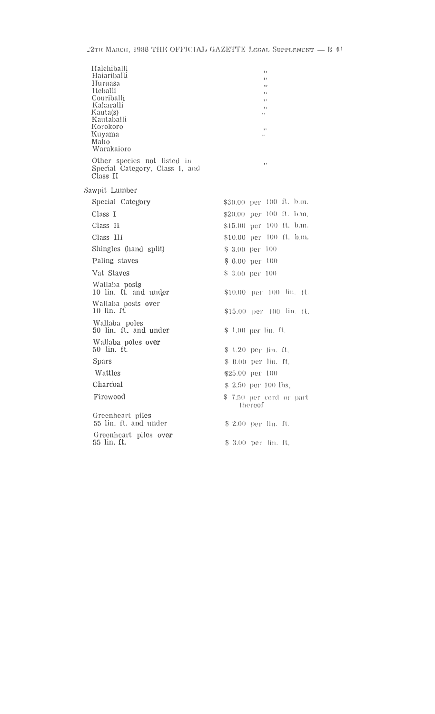| Halchiballi<br>Haiariballi<br>Huruasa<br>Iteballi<br>Couriballi<br>Kakaralli<br>Kauta(s)<br>Kautaballi<br>Korokoro<br>Kuyama<br>Malio<br>Warakaioro | 11<br>$\mathbf{1}$<br>3f<br>F<br>1,<br>21<br>,,<br>$, \,$<br>99 |
|-----------------------------------------------------------------------------------------------------------------------------------------------------|-----------------------------------------------------------------|
| Other species not listed in<br>Special Category, Class 1, and<br>Class II                                                                           | $\mathbf{1}$                                                    |
| Sawpit Lumber                                                                                                                                       |                                                                 |
| Special Category                                                                                                                                    | \$30.00 per 100 ft. b.m.                                        |
| Class I                                                                                                                                             | \$20.00 per 100 ft. b.m.                                        |
| Class II                                                                                                                                            | \$15.00 per 100 ft. b.m.                                        |
| Class III                                                                                                                                           | \$10.00 per 100 ft. b.m.                                        |
| Shingles (hand split)                                                                                                                               | $$3,00$ per $100$                                               |
| Paling staves                                                                                                                                       | \$ 6.00 per 100                                                 |
| Vat Staves                                                                                                                                          | \$ 3.00 per 100                                                 |
| Wallaba posts<br>10 lin. ft. and under                                                                                                              | \$10.00 per 100 lin. ft.                                        |
| Wallaba posts over<br>10 lin. ft.                                                                                                                   | \$15.00 per 100 lin. fl.                                        |
| Wallaba poles<br>50 lin. ft. and under                                                                                                              | \$ 1.00 per lin. ft.                                            |
| Wallaba poles over<br>50 lin. ft.                                                                                                                   | \$ 1.20 per lin. ft.                                            |
| <b>Spars</b>                                                                                                                                        | \$ 8.00 per lin. ft.                                            |
| Wattles                                                                                                                                             | \$25.00 per 100                                                 |
| Charcoal                                                                                                                                            | \$ 2.50 per 100 lbs.                                            |
| Firewood                                                                                                                                            | \$ 7.50 per cord or part<br>thereof                             |
| Greenheart piles<br>55 lin. ft. and under                                                                                                           | \$ 2.00 per lin. ft.                                            |
| Greenheart piles over<br>55 lin. ft.                                                                                                                | \$ 3.00 per lin. It.                                            |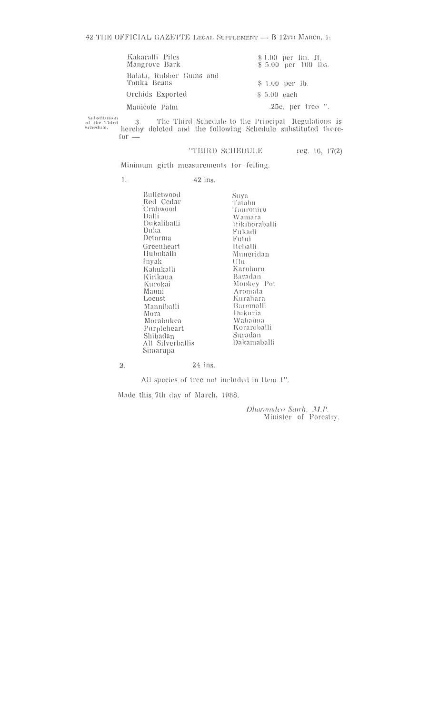| Kakaralli Piles<br>Mangrove Bark       | \$1.00 per lin. ft.<br>\$5.00 per 100 lbs. |
|----------------------------------------|--------------------------------------------|
| Balata, Rubber Gums and<br>Tonka Beans | $$1.00$ per lb.                            |
| Orchids Exported                       | $$5.00$ each                               |
| Manicole Palm                          | $.25c$ , per tree $.7$ .                   |

Substitution<br>of the Third<br>Schedute, 3. The Third Schedule to the Principal Regulations is hereby deleted and the following Schedule substituted there $for -$ 

#### "THIRD SCHEDULE

reg. 16, 17(2)

Minimum girth measurements for felling.

 $\mathbf{1}$ .  $42$  ins.

> Bulletwood Red Cedar<br>Crabwood Dalli Dukaliballi Duka Detorma Greenheart Hububalli Inyak Kabukalli Kirikaua Kurokai Manni Locust Manniballi Mora Morabukea Purpleheart r urpheneart<br>Shibadan<br>All Silverballis<br>Simarupa

Suya Tatabu Tauroniro Wamara **Itikiboraballi** Fukadi Futui **Heballi** Muneridan  $U|_{U}$ Karohoro Baradan Monkey Pot Aromata<br>Kurahara Baromalli Dukuria Wabaima Koraroballi Suradan Dakamaballi

 $2. \,$ 

#### $24$  ins.

All species of tree not included in Item 1".

Made this 7th day of March, 1988.

Dharamdeo Sawh, ,M.P.<br>Minister of Forestry.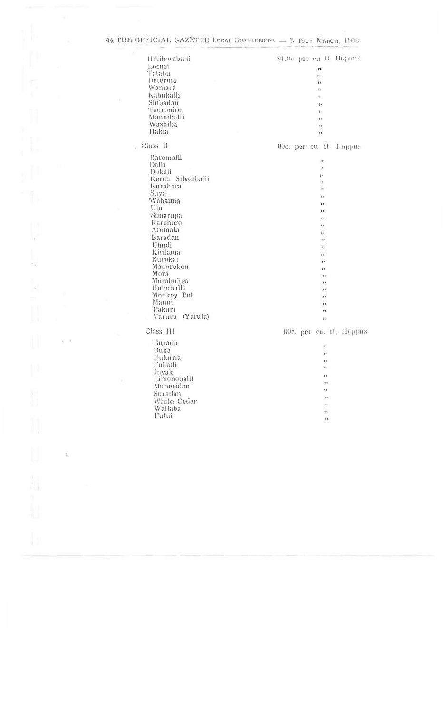| Hikiboraballi                                                                                                                                                                                                                                                                               | \$1.00 per cu ft. Hoppus.                                                                                                                                                 |
|---------------------------------------------------------------------------------------------------------------------------------------------------------------------------------------------------------------------------------------------------------------------------------------------|---------------------------------------------------------------------------------------------------------------------------------------------------------------------------|
| Locust                                                                                                                                                                                                                                                                                      | 83                                                                                                                                                                        |
| Tatabu                                                                                                                                                                                                                                                                                      | $\mathbf{r}$                                                                                                                                                              |
| Determa                                                                                                                                                                                                                                                                                     | ,,                                                                                                                                                                        |
| Wamara                                                                                                                                                                                                                                                                                      | 11                                                                                                                                                                        |
| Kabukalli                                                                                                                                                                                                                                                                                   | 11                                                                                                                                                                        |
| Shibadan                                                                                                                                                                                                                                                                                    | $\mathbf{I}$                                                                                                                                                              |
| Tauroniro                                                                                                                                                                                                                                                                                   | ,                                                                                                                                                                         |
| Manniballi                                                                                                                                                                                                                                                                                  | $\mathbf{1}$                                                                                                                                                              |
| Washiba                                                                                                                                                                                                                                                                                     | ,,                                                                                                                                                                        |
| Hakia                                                                                                                                                                                                                                                                                       | ,,                                                                                                                                                                        |
| Class II<br>G.<br>Baromalli<br>Dalli<br>Dukali<br>Kereti Silverballi<br>Kurahara<br>Suya<br>Wabaima<br>Ulu<br>Simarupa<br>Karohoro<br>Aromata<br>Baradan<br>Ubudi<br>Kirikaua<br>Kurokai<br>Maporokon<br>Mora<br>Morabukea<br>Hububalli<br>Monkey Pot<br>Manni<br>Pakuri<br>Yaruru (Yarula) | 80c. por cu. ft. Hoppus<br>,,<br>,,<br>,<br>,,<br>,<br>,<br>,,<br>,<br>$3$<br>,<br>$3$<br>,,<br>31<br>3 P<br>,,<br>11<br>,,<br>$3$<br>,<br>, 1<br>,,<br>$\mathbf{H}$<br>, |
| Class III                                                                                                                                                                                                                                                                                   | 80c. per cu. ft. Hoppus                                                                                                                                                   |
| Burada                                                                                                                                                                                                                                                                                      | $\pmb{y}$ ,                                                                                                                                                               |
| Duka                                                                                                                                                                                                                                                                                        | 11                                                                                                                                                                        |
| Dukuria                                                                                                                                                                                                                                                                                     | $\frac{1}{2}$                                                                                                                                                             |
| Fukadi                                                                                                                                                                                                                                                                                      | ,,                                                                                                                                                                        |
| Invak                                                                                                                                                                                                                                                                                       | $, \cdot$                                                                                                                                                                 |
| Limonoballl                                                                                                                                                                                                                                                                                 | ,                                                                                                                                                                         |
| Muneridan                                                                                                                                                                                                                                                                                   | "                                                                                                                                                                         |
| Suradan                                                                                                                                                                                                                                                                                     | n                                                                                                                                                                         |
| White Cedar                                                                                                                                                                                                                                                                                 | , ,                                                                                                                                                                       |
| Wallaba                                                                                                                                                                                                                                                                                     | ŧ۲.                                                                                                                                                                       |
| Futui                                                                                                                                                                                                                                                                                       | 21                                                                                                                                                                        |

 $\frac{1}{2}$ 

 $\frac{1}{2}$ 

 $\frac{\omega}{2} = 0$ 

 $\bar{1}$